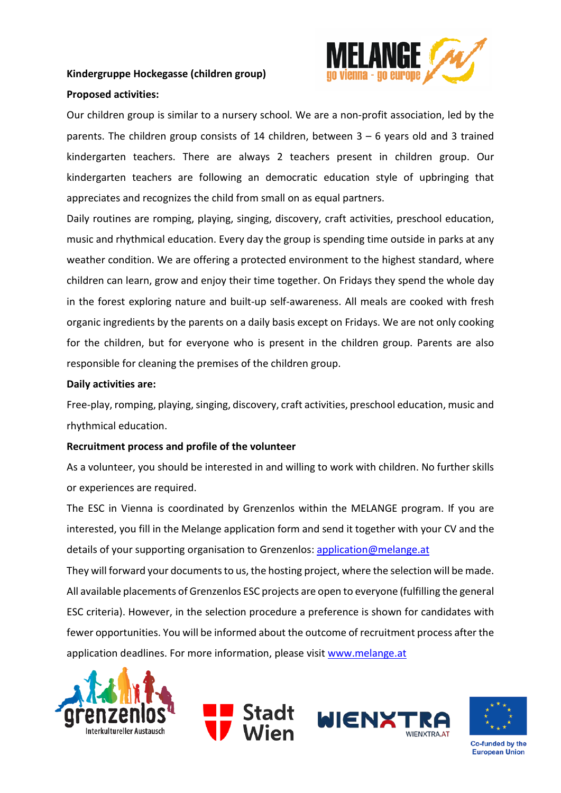## **Kindergruppe Hockegasse (children group)**



#### **Proposed activities:**

Our children group is similar to a nursery school. We are a non-profit association, led by the parents. The children group consists of 14 children, between 3 – 6 years old and 3 trained kindergarten teachers. There are always 2 teachers present in children group. Our kindergarten teachers are following an democratic education style of upbringing that appreciates and recognizes the child from small on as equal partners.

Daily routines are romping, playing, singing, discovery, craft activities, preschool education, music and rhythmical education. Every day the group is spending time outside in parks at any weather condition. We are offering a protected environment to the highest standard, where children can learn, grow and enjoy their time together. On Fridays they spend the whole day in the forest exploring nature and built-up self-awareness. All meals are cooked with fresh organic ingredients by the parents on a daily basis except on Fridays. We are not only cooking for the children, but for everyone who is present in the children group. Parents are also responsible for cleaning the premises of the children group.

### **Daily activities are:**

Free-play, romping, playing, singing, discovery, craft activities, preschool education, music and rhythmical education.

## **Recruitment process and profile of the volunteer**

As a volunteer, you should be interested in and willing to work with children. No further skills or experiences are required.

The ESC in Vienna is coordinated by Grenzenlos within the MELANGE program. If you are interested, you fill in the Melange application form and send it together with your CV and the details of your supporting organisation to Grenzenlos: [application@melange.at](mailto:application@melange.at)

They will forward your documents to us, the hosting project, where the selection will be made. All available placements of Grenzenlos ESC projects are open to everyone (fulfilling the general ESC criteria). However, in the selection procedure a preference is shown for candidates with fewer opportunities. You will be informed about the outcome of recruitment process after the application deadlines. For more information, please visit [www.melange.at](http://www.melange.at/)





Co-funded by the **European Union**